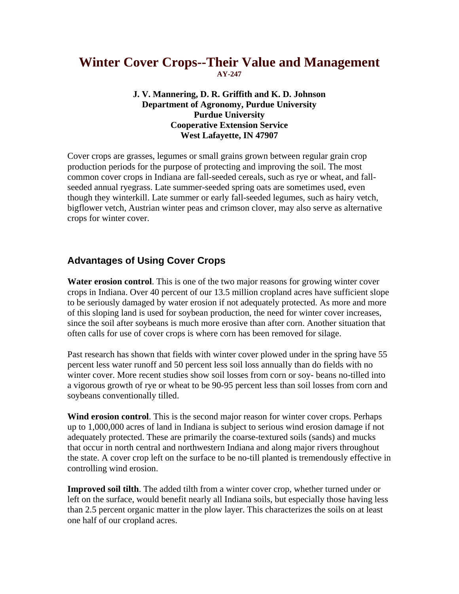# **Winter Cover Crops--Their Value and Management AY-247**

#### **J. V. Mannering, D. R. Griffith and K. D. Johnson Department of Agronomy, Purdue University Purdue University Cooperative Extension Service West Lafayette, IN 47907**

Cover crops are grasses, legumes or small grains grown between regular grain crop production periods for the purpose of protecting and improving the soil. The most common cover crops in Indiana are fall-seeded cereals, such as rye or wheat, and fallseeded annual ryegrass. Late summer-seeded spring oats are sometimes used, even though they winterkill. Late summer or early fall-seeded legumes, such as hairy vetch, bigflower vetch, Austrian winter peas and crimson clover, may also serve as alternative crops for winter cover.

### **Advantages of Using Cover Crops**

**Water erosion control**. This is one of the two major reasons for growing winter cover crops in Indiana. Over 40 percent of our 13.5 million cropland acres have sufficient slope to be seriously damaged by water erosion if not adequately protected. As more and more of this sloping land is used for soybean production, the need for winter cover increases, since the soil after soybeans is much more erosive than after corn. Another situation that often calls for use of cover crops is where corn has been removed for silage.

Past research has shown that fields with winter cover plowed under in the spring have 55 percent less water runoff and 50 percent less soil loss annually than do fields with no winter cover. More recent studies show soil losses from corn or soy- beans no-tilled into a vigorous growth of rye or wheat to be 90-95 percent less than soil losses from corn and soybeans conventionally tilled.

**Wind erosion control**. This is the second major reason for winter cover crops. Perhaps up to 1,000,000 acres of land in Indiana is subject to serious wind erosion damage if not adequately protected. These are primarily the coarse-textured soils (sands) and mucks that occur in north central and northwestern Indiana and along major rivers throughout the state. A cover crop left on the surface to be no-till planted is tremendously effective in controlling wind erosion.

**Improved soil tilth**. The added tilth from a winter cover crop, whether turned under or left on the surface, would benefit nearly all Indiana soils, but especially those having less than 2.5 percent organic matter in the plow layer. This characterizes the soils on at least one half of our cropland acres.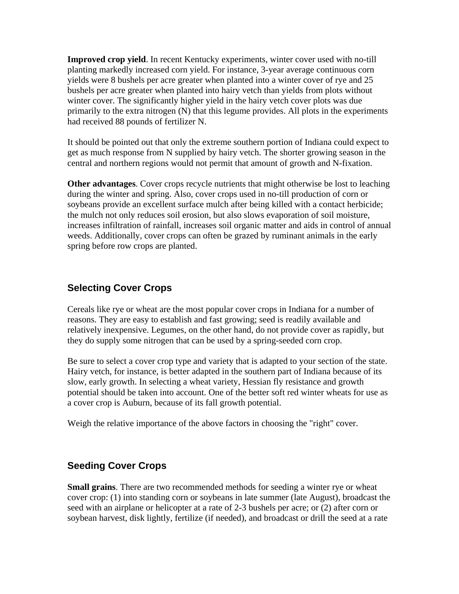**Improved crop yield**. In recent Kentucky experiments, winter cover used with no-till planting markedly increased corn yield. For instance, 3-year average continuous corn yields were 8 bushels per acre greater when planted into a winter cover of rye and 25 bushels per acre greater when planted into hairy vetch than yields from plots without winter cover. The significantly higher yield in the hairy vetch cover plots was due primarily to the extra nitrogen (N) that this legume provides. All plots in the experiments had received 88 pounds of fertilizer N.

It should be pointed out that only the extreme southern portion of Indiana could expect to get as much response from N supplied by hairy vetch. The shorter growing season in the central and northern regions would not permit that amount of growth and N-fixation.

**Other advantages**. Cover crops recycle nutrients that might otherwise be lost to leaching during the winter and spring. Also, cover crops used in no-till production of corn or soybeans provide an excellent surface mulch after being killed with a contact herbicide; the mulch not only reduces soil erosion, but also slows evaporation of soil moisture, increases infiltration of rainfall, increases soil organic matter and aids in control of annual weeds. Additionally, cover crops can often be grazed by ruminant animals in the early spring before row crops are planted.

# **Selecting Cover Crops**

Cereals like rye or wheat are the most popular cover crops in Indiana for a number of reasons. They are easy to establish and fast growing; seed is readily available and relatively inexpensive. Legumes, on the other hand, do not provide cover as rapidly, but they do supply some nitrogen that can be used by a spring-seeded corn crop.

Be sure to select a cover crop type and variety that is adapted to your section of the state. Hairy vetch, for instance, is better adapted in the southern part of Indiana because of its slow, early growth. In selecting a wheat variety, Hessian fly resistance and growth potential should be taken into account. One of the better soft red winter wheats for use as a cover crop is Auburn, because of its fall growth potential.

Weigh the relative importance of the above factors in choosing the "right" cover.

### **Seeding Cover Crops**

**Small grains**. There are two recommended methods for seeding a winter rye or wheat cover crop: (1) into standing corn or soybeans in late summer (late August), broadcast the seed with an airplane or helicopter at a rate of 2-3 bushels per acre; or (2) after corn or soybean harvest, disk lightly, fertilize (if needed), and broadcast or drill the seed at a rate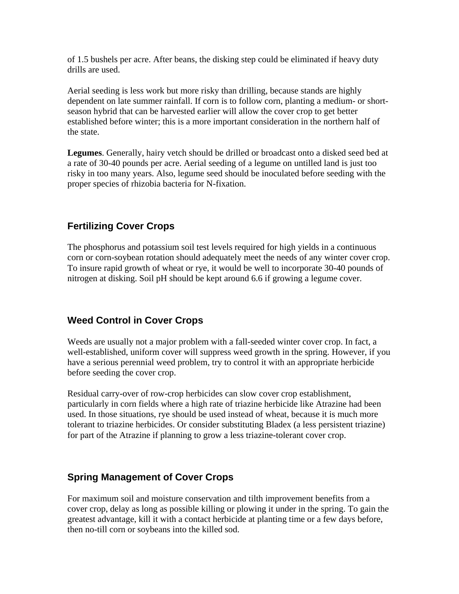of 1.5 bushels per acre. After beans, the disking step could be eliminated if heavy duty drills are used.

Aerial seeding is less work but more risky than drilling, because stands are highly dependent on late summer rainfall. If corn is to follow corn, planting a medium- or shortseason hybrid that can be harvested earlier will allow the cover crop to get better established before winter; this is a more important consideration in the northern half of the state.

**Legumes**. Generally, hairy vetch should be drilled or broadcast onto a disked seed bed at a rate of 30-40 pounds per acre. Aerial seeding of a legume on untilled land is just too risky in too many years. Also, legume seed should be inoculated before seeding with the proper species of rhizobia bacteria for N-fixation.

# **Fertilizing Cover Crops**

The phosphorus and potassium soil test levels required for high yields in a continuous corn or corn-soybean rotation should adequately meet the needs of any winter cover crop. To insure rapid growth of wheat or rye, it would be well to incorporate 30-40 pounds of nitrogen at disking. Soil pH should be kept around 6.6 if growing a legume cover.

### **Weed Control in Cover Crops**

Weeds are usually not a major problem with a fall-seeded winter cover crop. In fact, a well-established, uniform cover will suppress weed growth in the spring. However, if you have a serious perennial weed problem, try to control it with an appropriate herbicide before seeding the cover crop.

Residual carry-over of row-crop herbicides can slow cover crop establishment, particularly in corn fields where a high rate of triazine herbicide like Atrazine had been used. In those situations, rye should be used instead of wheat, because it is much more tolerant to triazine herbicides. Or consider substituting Bladex (a less persistent triazine) for part of the Atrazine if planning to grow a less triazine-tolerant cover crop.

### **Spring Management of Cover Crops**

For maximum soil and moisture conservation and tilth improvement benefits from a cover crop, delay as long as possible killing or plowing it under in the spring. To gain the greatest advantage, kill it with a contact herbicide at planting time or a few days before, then no-till corn or soybeans into the killed sod.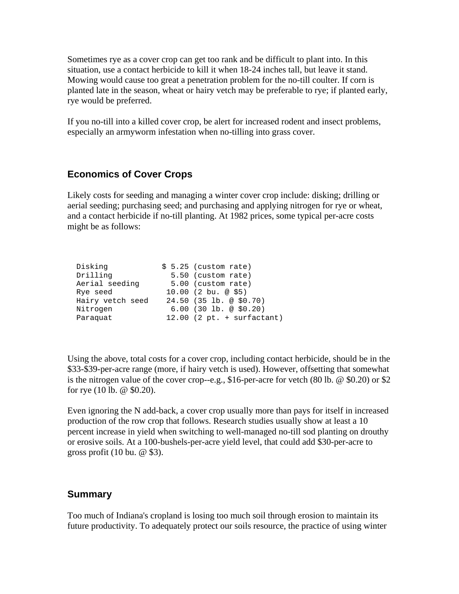Sometimes rye as a cover crop can get too rank and be difficult to plant into. In this situation, use a contact herbicide to kill it when 18-24 inches tall, but leave it stand. Mowing would cause too great a penetration problem for the no-till coulter. If corn is planted late in the season, wheat or hairy vetch may be preferable to rye; if planted early, rye would be preferred.

If you no-till into a killed cover crop, be alert for increased rodent and insect problems, especially an armyworm infestation when no-tilling into grass cover.

#### **Economics of Cover Crops**

Likely costs for seeding and managing a winter cover crop include: disking; drilling or aerial seeding; purchasing seed; and purchasing and applying nitrogen for rye or wheat, and a contact herbicide if no-till planting. At 1982 prices, some typical per-acre costs might be as follows:

| Disking          | $$5.25$ (custom rate)        |
|------------------|------------------------------|
| Drilling         | 5.50 (custom rate)           |
| Aerial seeding   | 5.00 (custom rate)           |
| Rye seed         | $10.00$ (2 bu. @ \$5)        |
| Hairy vetch seed | $24.50$ (35 lb. @ \$0.70)    |
| Nitrogen         | $6.00$ (30 lb. @ \$0.20)     |
| Paraquat         | $12.00$ (2 pt. + surfactant) |

Using the above, total costs for a cover crop, including contact herbicide, should be in the \$33-\$39-per-acre range (more, if hairy vetch is used). However, offsetting that somewhat is the nitrogen value of the cover crop--e.g., \$16-per-acre for vetch (80 lb. @ \$0.20) or \$2 for rye (10 lb. @ \$0.20).

Even ignoring the N add-back, a cover crop usually more than pays for itself in increased production of the row crop that follows. Research studies usually show at least a 10 percent increase in yield when switching to well-managed no-till sod planting on drouthy or erosive soils. At a 100-bushels-per-acre yield level, that could add \$30-per-acre to gross profit  $(10 \text{ bu.} \text{ @ } $3)$ .

#### **Summary**

Too much of Indiana's cropland is losing too much soil through erosion to maintain its future productivity. To adequately protect our soils resource, the practice of using winter